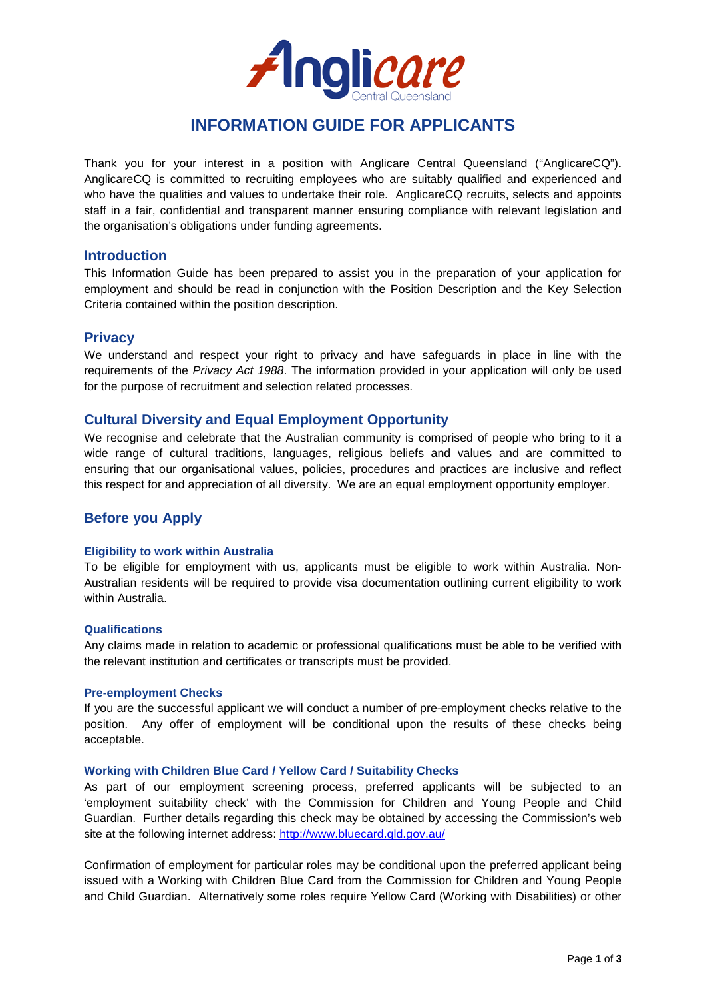

# **INFORMATION GUIDE FOR APPLICANTS**

Thank you for your interest in a position with Anglicare Central Queensland ("AnglicareCQ"). AnglicareCQ is committed to recruiting employees who are suitably qualified and experienced and who have the qualities and values to undertake their role. AnglicareCQ recruits, selects and appoints staff in a fair, confidential and transparent manner ensuring compliance with relevant legislation and the organisation's obligations under funding agreements.

## **Introduction**

This Information Guide has been prepared to assist you in the preparation of your application for employment and should be read in conjunction with the Position Description and the Key Selection Criteria contained within the position description.

# **Privacy**

We understand and respect your right to privacy and have safeguards in place in line with the requirements of the *[Privacy Act 1988](http://www.comlaw.gov.au/ComLaw/Management.nsf/current/bytitle/32AA97DFE9AA8326CA256F7100071D25?OpenDocument&VIEW=compilations)*. The information provided in your application will only be used for the purpose of recruitment and selection related processes.

# **Cultural Diversity and Equal Employment Opportunity**

We recognise and celebrate that the Australian community is comprised of people who bring to it a wide range of cultural traditions, languages, religious beliefs and values and are committed to ensuring that our organisational values, policies, procedures and practices are inclusive and reflect this respect for and appreciation of all diversity. We are an equal employment opportunity employer.

# **Before you Apply**

## **Eligibility to work within Australia**

To be eligible for employment with us, applicants must be eligible to work within Australia. Non-Australian residents will be required to provide visa documentation outlining current eligibility to work within Australia.

## **Qualifications**

Any claims made in relation to academic or professional qualifications must be able to be verified with the relevant institution and certificates or transcripts must be provided.

## **Pre-employment Checks**

If you are the successful applicant we will conduct a number of pre-employment checks relative to the position. Any offer of employment will be conditional upon the results of these checks being acceptable.

## **Working with Children Blue Card / Yellow Card / Suitability Checks**

As part of our employment screening process, preferred applicants will be subjected to an 'employment suitability check' with the Commission for Children and Young People and Child Guardian. Further details regarding this check may be obtained by accessing the Commission's web site at the following internet address:<http://www.bluecard.qld.gov.au/>

Confirmation of employment for particular roles may be conditional upon the preferred applicant being issued with a Working with Children Blue Card from the Commission for Children and Young People and Child Guardian. Alternatively some roles require Yellow Card (Working with Disabilities) or other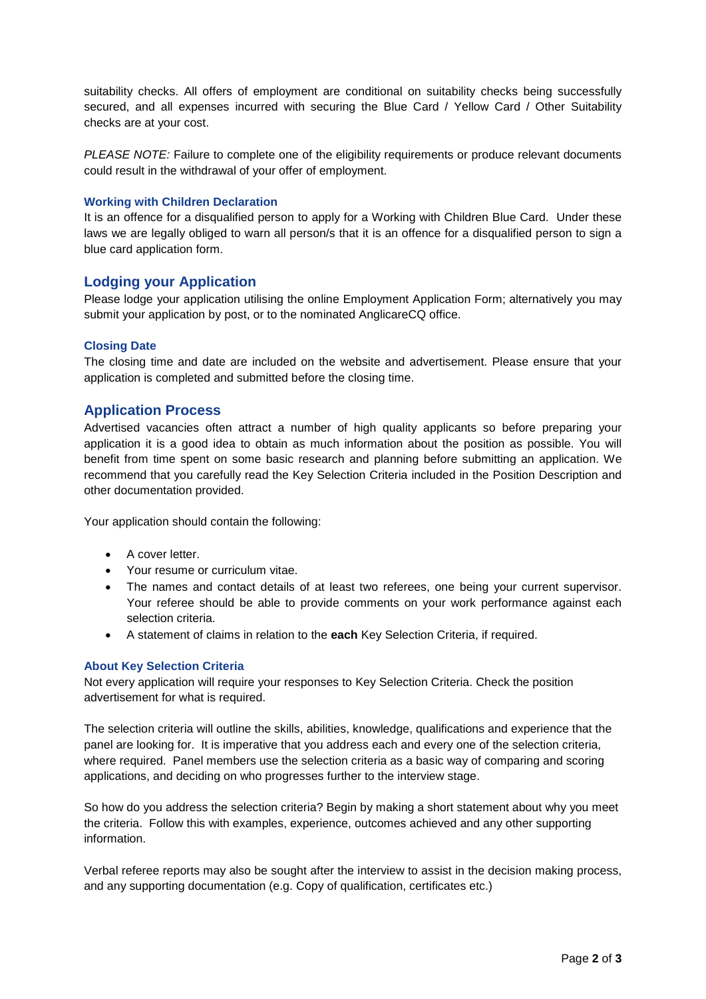suitability checks. All offers of employment are conditional on suitability checks being successfully secured, and all expenses incurred with securing the Blue Card / Yellow Card / Other Suitability checks are at your cost.

*PLEASE NOTE:* Failure to complete one of the eligibility requirements or produce relevant documents could result in the withdrawal of your offer of employment.

## **Working with Children Declaration**

It is an offence for a disqualified person to apply for a Working with Children Blue Card. Under these laws we are legally obliged to warn all person/s that it is an offence for a disqualified person to sign a blue card application form.

# **Lodging your Application**

Please lodge your application utilising the online Employment Application Form; alternatively you may submit your application by post, or to the nominated AnglicareCQ office.

## **Closing Date**

The closing time and date are included on the website and advertisement. Please ensure that your application is completed and submitted before the closing time.

# **Application Process**

Advertised vacancies often attract a number of high quality applicants so before preparing your application it is a good idea to obtain as much information about the position as possible. You will benefit from time spent on some basic research and planning before submitting an application. We recommend that you carefully read the Key Selection Criteria included in the Position Description and other documentation provided.

Your application should contain the following:

- A cover letter.
- Your resume or curriculum vitae.
- The names and contact details of at least two referees, one being your current supervisor. Your referee should be able to provide comments on your work performance against each selection criteria.
- A statement of claims in relation to the **each** Key Selection Criteria, if required.

## **About Key Selection Criteria**

Not every application will require your responses to Key Selection Criteria. Check the position advertisement for what is required.

The selection criteria will outline the skills, abilities, knowledge, qualifications and experience that the panel are looking for. It is imperative that you address each and every one of the selection criteria, where required. Panel members use the selection criteria as a basic way of comparing and scoring applications, and deciding on who progresses further to the interview stage.

So how do you address the selection criteria? Begin by making a short statement about why you meet the criteria. Follow this with examples, experience, outcomes achieved and any other supporting information.

Verbal referee reports may also be sought after the interview to assist in the decision making process, and any supporting documentation (e.g. Copy of qualification, certificates etc.)